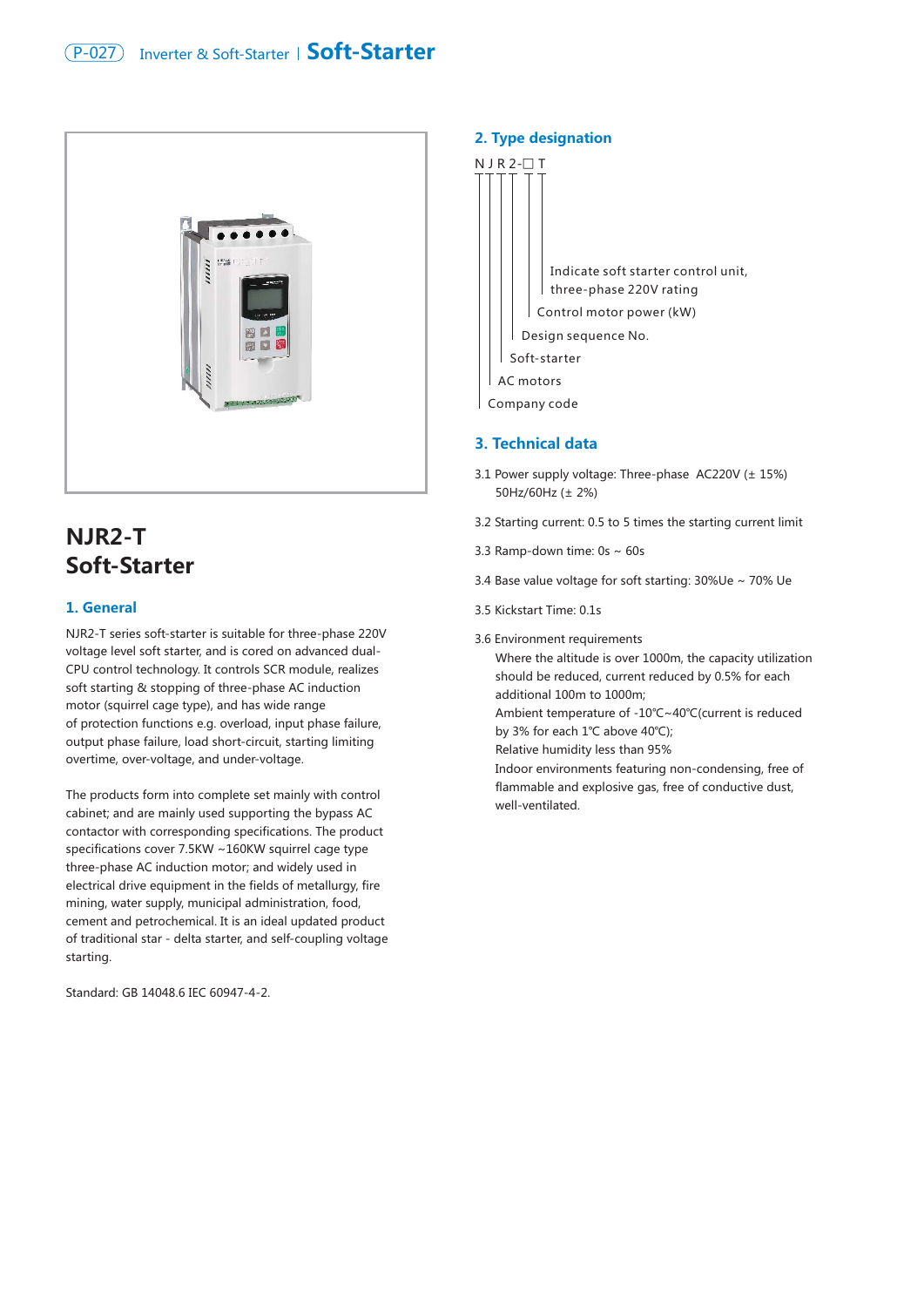

# **NJR2-T Soft-Starter**

## **1. General**

NJR2-T series soft-starter is suitable for three-phase 220V voltage level soft starter, and is cored on advanced dual-CPU control technology. It controls SCR module, realizes soft starting & stopping of three-phase AC induction motor (squirrel cage type), and has wide range of protection functions e.g. overload, input phase failure, output phase failure, load short-circuit, starting limiting overtime, over-voltage, and under-voltage.

The products form into complete set mainly with control cabinet; and are mainly used supporting the bypass AC contactor with corresponding specifications. The product specifications cover 7.5KW ~160KW squirrel cage type three-phase AC induction motor; and widely used in electrical drive equipment in the fields of metallurgy, fire mining, water supply, municipal administration, food, cement and petrochemical. It is an ideal updated product of traditional star - delta starter, and self-coupling voltage starting.

Standard: GB 14048.6 IEC 60947-4-2.

### **2. Type designation**



#### **3. Technical data**

- 3.1 Power supply voltage: Three-phase AC220V (± 15%) 50Hz/60Hz (± 2%)
- 3.2 Starting current: 0.5 to 5 times the starting current limit
- 3.3 Ramp-down time: 0s ~ 60s
- 3.4 Base value voltage for soft starting: 30%Ue ~ 70% Ue
- 3.5 Kickstart Time: 0.1s
- 3.6 Environment requirements

 Where the altitude is over 1000m, the capacity utilization should be reduced, current reduced by 0.5% for each additional 100m to 1000m;

 Ambient temperature of -10℃~40℃(current is reduced by 3% for each 1℃ above 40℃);

Relative humidity less than 95%

 Indoor environments featuring non-condensing, free of flammable and explosive gas, free of conductive dust, well-ventilated.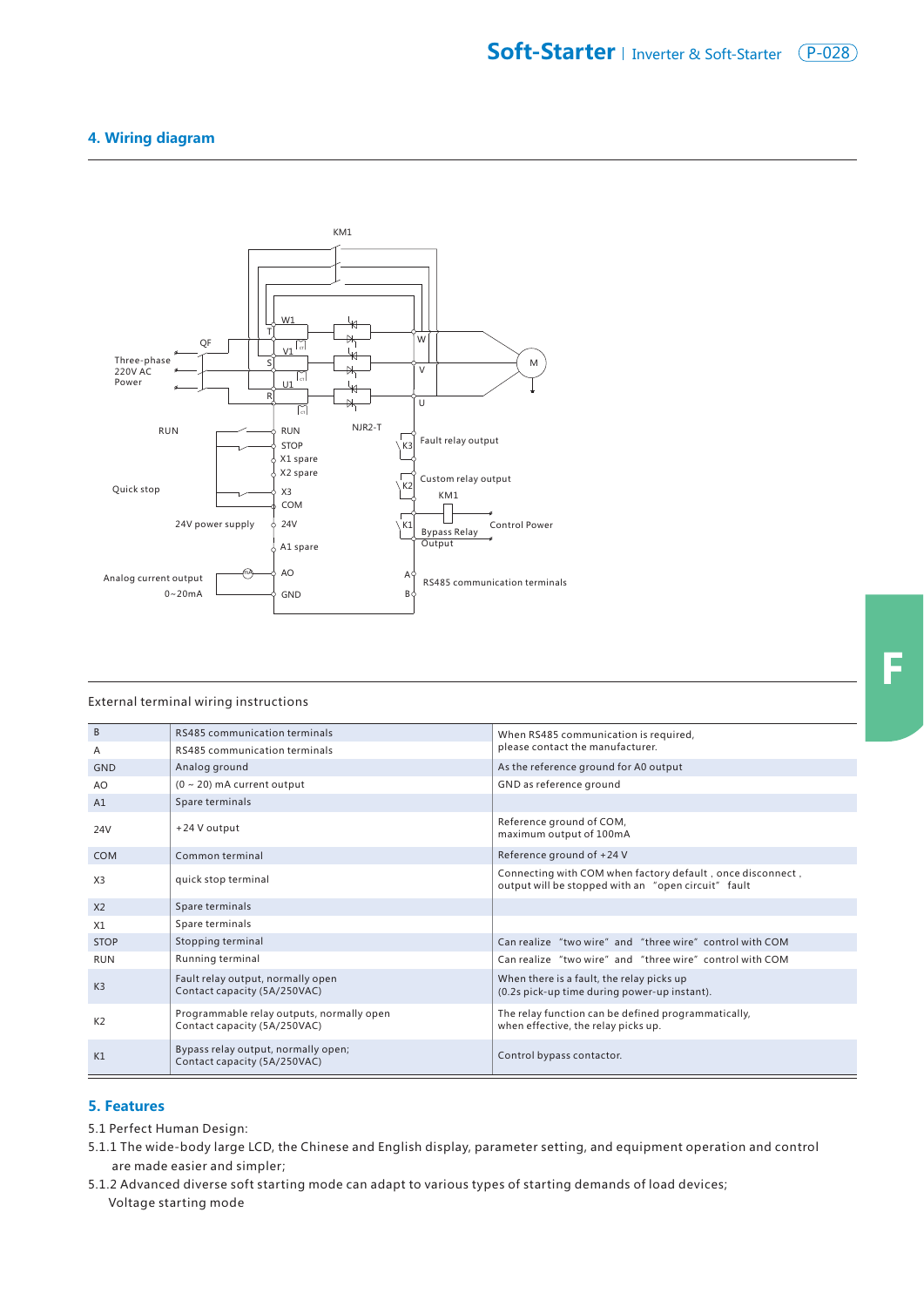## **4. Wiring diagram**



#### External terminal wiring instructions

| B              | <b>RS485 communication terminals</b>                                      | When RS485 communication is required,                                                                             |  |
|----------------|---------------------------------------------------------------------------|-------------------------------------------------------------------------------------------------------------------|--|
| Α              | RS485 communication terminals                                             | please contact the manufacturer.                                                                                  |  |
| <b>GND</b>     | Analog ground                                                             | As the reference ground for A0 output                                                                             |  |
| AO.            | $(0 \sim 20)$ mA current output                                           | GND as reference ground                                                                                           |  |
| A1             | Spare terminals                                                           |                                                                                                                   |  |
| 24V            | +24 V output                                                              | Reference ground of COM,<br>maximum output of 100mA                                                               |  |
| <b>COM</b>     | Common terminal                                                           | Reference ground of +24 V                                                                                         |  |
| X <sub>3</sub> | quick stop terminal                                                       | Connecting with COM when factory default, once disconnect,<br>output will be stopped with an "open circuit" fault |  |
| X <sub>2</sub> | Spare terminals                                                           |                                                                                                                   |  |
| X1             | Spare terminals                                                           |                                                                                                                   |  |
| <b>STOP</b>    | Stopping terminal                                                         | Can realize "two wire" and "three wire" control with COM                                                          |  |
| <b>RUN</b>     | Running terminal                                                          | Can realize "two wire" and "three wire" control with COM                                                          |  |
| K <sub>3</sub> | Fault relay output, normally open<br>Contact capacity (5A/250VAC)         | When there is a fault, the relay picks up<br>(0.2s pick-up time during power-up instant).                         |  |
| K <sub>2</sub> | Programmable relay outputs, normally open<br>Contact capacity (5A/250VAC) | The relay function can be defined programmatically,<br>when effective, the relay picks up.                        |  |
| K1             | Bypass relay output, normally open;<br>Contact capacity (5A/250VAC)       | Control bypass contactor.                                                                                         |  |

#### **5. Features**

5.1 Perfect Human Design:

- 5.1.1 The wide-body large LCD, the Chinese and English display, parameter setting, and equipment operation and control are made easier and simpler;
- 5.1.2 Advanced diverse soft starting mode can adapt to various types of starting demands of load devices; Voltage starting mode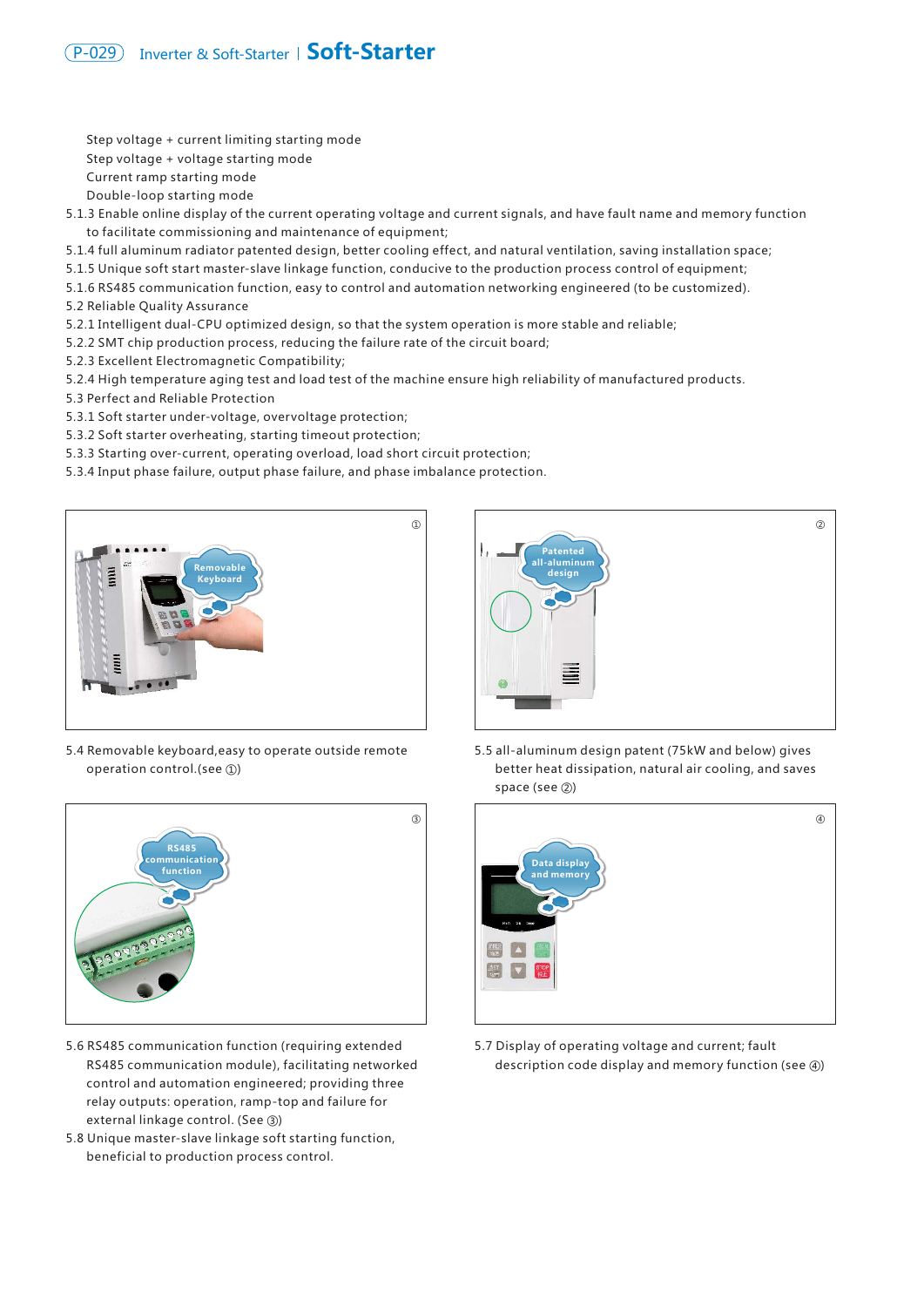Step voltage + current limiting starting mode Step voltage + voltage starting mode Current ramp starting mode Double-loop starting mode

- 5.1.3 Enable online display of the current operating voltage and current signals, and have fault name and memory function to facilitate commissioning and maintenance of equipment;
- 5.1.4 full aluminum radiator patented design, better cooling effect, and natural ventilation, saving installation space;
- 5.1.5 Unique soft start master-slave linkage function, conducive to the production process control of equipment;
- 5.1.6 RS485 communication function, easy to control and automation networking engineered (to be customized).
- 5.2 Reliable Quality Assurance
- 5.2.1 Intelligent dual-CPU optimized design, so that the system operation is more stable and reliable;
- 5.2.2 SMT chip production process, reducing the failure rate of the circuit board;
- 5.2.3 Excellent Electromagnetic Compatibility;
- 5.2.4 High temperature aging test and load test of the machine ensure high reliability of manufactured products.
- 5.3 Perfect and Reliable Protection
- 5.3.1 Soft starter under-voltage, overvoltage protection;
- 5.3.2 Soft starter overheating, starting timeout protection;
- 5.3.3 Starting over-current, operating overload, load short circuit protection;
- 5.3.4 Input phase failure, output phase failure, and phase imbalance protection.



5.4 Removable keyboard,easy to operate outside remote operation control.(see ①)



- 5.6 RS485 communication function (requiring extended RS485 communication module), facilitating networked control and automation engineered; providing three relay outputs: operation, ramp-top and failure for external linkage control. (See ③)
- 5.8 Unique master-slave linkage soft starting function, beneficial to production process control.



5.5 all-aluminum design patent (75kW and below) gives better heat dissipation, natural air cooling, and saves space (see ②)



5.7 Display of operating voltage and current; fault description code display and memory function (see ④)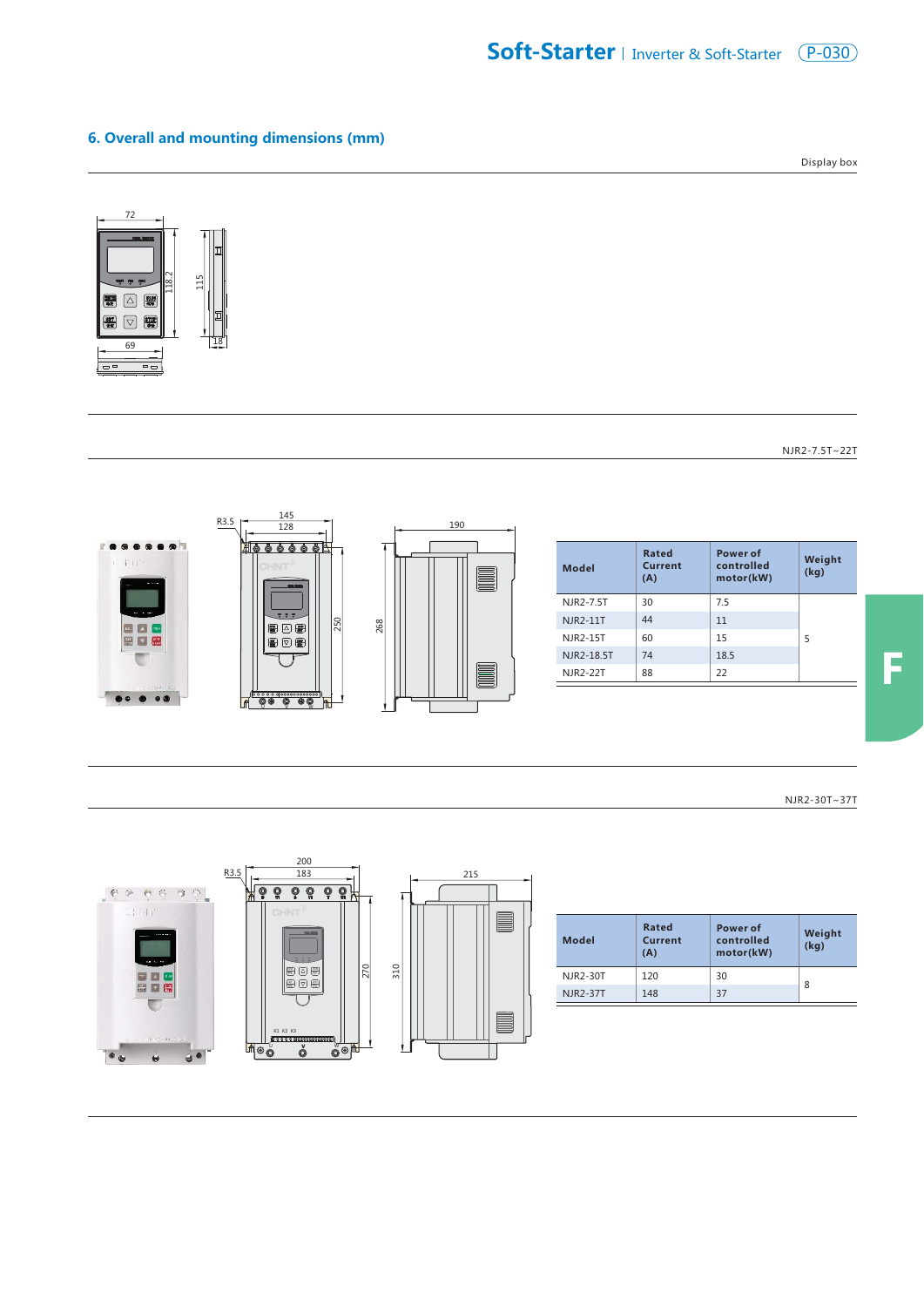## **6. Overall and mounting dimensions (mm)**

Display box



NJR2-7.5T~22T



NJR2-30T~37T



| Model           | Rated<br>Current<br>(A) | Power of<br>controlled<br>motor(kW) | Weight<br>(kq) |
|-----------------|-------------------------|-------------------------------------|----------------|
| NJR2-30T        | 120                     | 30                                  | 8              |
| <b>NJR2-37T</b> | 148                     | 37                                  |                |